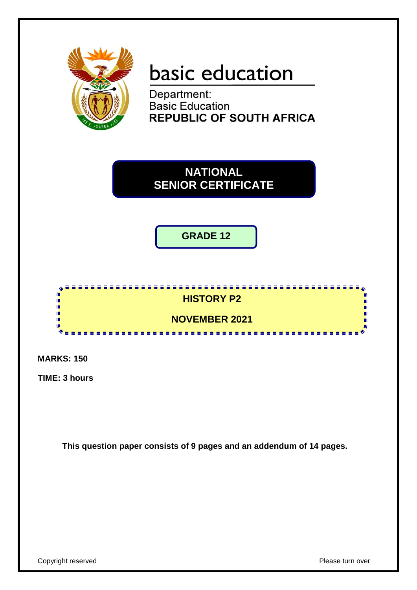

# basic education

Department: **Basic Education REPUBLIC OF SOUTH AFRICA** 

**NATIONAL SENIOR CERTIFICATE**

**GRADE 12**



**MARKS: 150**

**TIME: 3 hours**

**This question paper consists of 9 pages and an addendum of 14 pages.**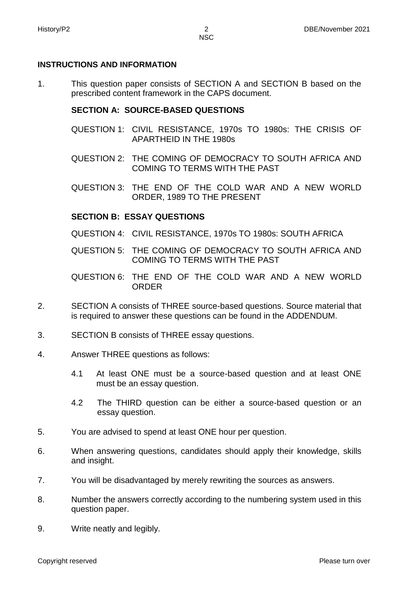# **INSTRUCTIONS AND INFORMATION**

1. This question paper consists of SECTION A and SECTION B based on the prescribed content framework in the CAPS document.

# **SECTION A: SOURCE-BASED QUESTIONS**

- QUESTION 1: CIVIL RESISTANCE, 1970s TO 1980s: THE CRISIS OF APARTHEID IN THE 1980s
- QUESTION 2: THE COMING OF DEMOCRACY TO SOUTH AFRICA AND COMING TO TERMS WITH THE PAST
- QUESTION 3: THE END OF THE COLD WAR AND A NEW WORLD ORDER, 1989 TO THE PRESENT

# **SECTION B: ESSAY QUESTIONS**

- QUESTION 4: CIVIL RESISTANCE, 1970s TO 1980s: SOUTH AFRICA
- QUESTION 5: THE COMING OF DEMOCRACY TO SOUTH AFRICA AND COMING TO TERMS WITH THE PAST
- QUESTION 6: THE END OF THE COLD WAR AND A NEW WORLD ORDER
- 2. SECTION A consists of THREE source-based questions. Source material that is required to answer these questions can be found in the ADDENDUM.
- 3. SECTION B consists of THREE essay questions.
- 4. Answer THREE questions as follows:
	- 4.1 At least ONE must be a source-based question and at least ONE must be an essay question.
	- 4.2 The THIRD question can be either a source-based question or an essay question.
- 5. You are advised to spend at least ONE hour per question.
- 6. When answering questions, candidates should apply their knowledge, skills and insight.
- 7. You will be disadvantaged by merely rewriting the sources as answers.
- 8. Number the answers correctly according to the numbering system used in this question paper.
- 9. Write neatly and legibly.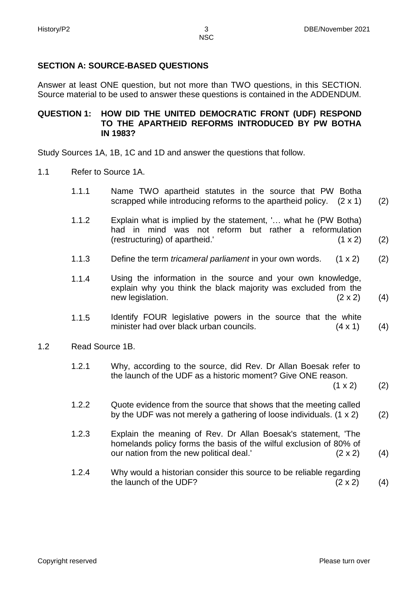# **SECTION A: SOURCE-BASED QUESTIONS**

Answer at least ONE question, but not more than TWO questions, in this SECTION. Source material to be used to answer these questions is contained in the ADDENDUM.

#### **QUESTION 1: HOW DID THE UNITED DEMOCRATIC FRONT (UDF) RESPOND TO THE APARTHEID REFORMS INTRODUCED BY PW BOTHA IN 1983?**

Study Sources 1A, 1B, 1C and 1D and answer the questions that follow.

- 1.1 Refer to Source 1A.
	- 1.1.1 Name TWO apartheid statutes in the source that PW Botha scrapped while introducing reforms to the apartheid policy. (2 x 1) (2)
	- 1.1.2 Explain what is implied by the statement, '… what he (PW Botha) had in mind was not reform but rather a reformulation (restructuring) of apartheid.' (1 x 2) (2)
	- 1.1.3 Define the term *tricameral parliament* in your own words. (1 x 2) (2)
	- 1.1.4 Using the information in the source and your own knowledge, explain why you think the black majority was excluded from the new legislation. (2 x 2) (4)
	- 1.1.5 Identify FOUR legislative powers in the source that the white minister had over black urban councils. (4 x 1) (4)
- 1.2 Read Source 1B.
	- 1.2.1 Why, according to the source, did Rev. Dr Allan Boesak refer to the launch of the UDF as a historic moment? Give ONE reason.  $(1 \times 2)$

(2)

- 1.2.2 Quote evidence from the source that shows that the meeting called by the UDF was not merely a gathering of loose individuals. (1 x 2) (2)
- 1.2.3 Explain the meaning of Rev. Dr Allan Boesak's statement, 'The homelands policy forms the basis of the wilful exclusion of 80% of our nation from the new political deal.'  $(2 \times 2)$ (4)
- 1.2.4 Why would a historian consider this source to be reliable regarding the launch of the UDF?  $(2 \times 2)$ (4)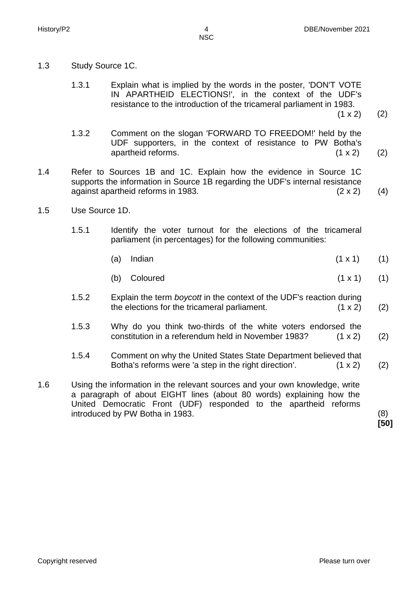- 1.3 Study Source 1C.
	- 1.3.1 Explain what is implied by the words in the poster, 'DON'T VOTE IN APARTHEID ELECTIONS!', in the context of the UDF's resistance to the introduction of the tricameral parliament in 1983.

 $(1 \times 2)$ (2)

- 1.3.2 Comment on the slogan 'FORWARD TO FREEDOM!' held by the UDF supporters, in the context of resistance to PW Botha's apartheid reforms. (1 x 2) (2)
- 1.4 Refer to Sources 1B and 1C. Explain how the evidence in Source 1C supports the information in Source 1B regarding the UDF's internal resistance against apartheid reforms in 1983.  $(2 \times 2)$  (4)
- 1.5 Use Source 1D.
	- 1.5.1 Identify the voter turnout for the elections of the tricameral parliament (in percentages) for the following communities:
		- (a) Indian  $(1 \times 1)$ (1)
		- (b) Coloured  $(1 \times 1)$ (1)
	- 1.5.2 Explain the term *boycott* in the context of the UDF's reaction during the elections for the tricameral parliament.  $(1 \times 2)$ (2)
	- 1.5.3 Why do you think two-thirds of the white voters endorsed the constitution in a referendum held in November 1983? (1 x 2) (2)
	- 1.5.4 Comment on why the United States State Department believed that Botha's reforms were 'a step in the right direction'.  $(1 \times 2)$ (2)
- 1.6 Using the information in the relevant sources and your own knowledge, write a paragraph of about EIGHT lines (about 80 words) explaining how the United Democratic Front (UDF) responded to the apartheid reforms introduced by PW Botha in 1983. (8)

**[50]**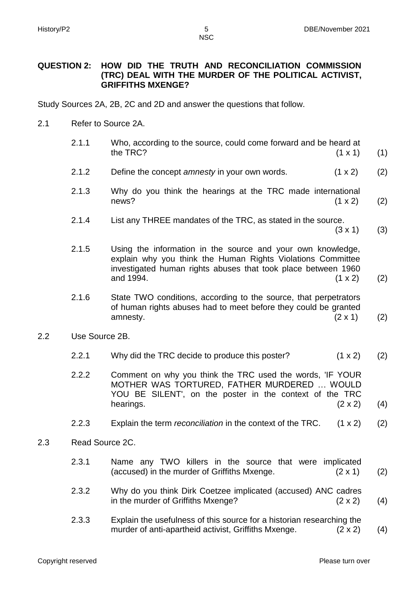#### **QUESTION 2: HOW DID THE TRUTH AND RECONCILIATION COMMISSION (TRC) DEAL WITH THE MURDER OF THE POLITICAL ACTIVIST, GRIFFITHS MXENGE?**

Study Sources 2A, 2B, 2C and 2D and answer the questions that follow.

2.1 Refer to Source 2A.

|                | 2.1.1           | Who, according to the source, could come forward and be heard at<br>the TRC?                                                                                                                             | $(1 \times 1)$ | (1) |
|----------------|-----------------|----------------------------------------------------------------------------------------------------------------------------------------------------------------------------------------------------------|----------------|-----|
|                | 2.1.2           | Define the concept amnesty in your own words.                                                                                                                                                            | $(1 \times 2)$ | (2) |
|                | 2.1.3           | Why do you think the hearings at the TRC made international<br>news?                                                                                                                                     | (1 x 2)        | (2) |
|                | 2.1.4           | List any THREE mandates of the TRC, as stated in the source.                                                                                                                                             | $(3 \times 1)$ | (3) |
|                | 2.1.5           | Using the information in the source and your own knowledge,<br>explain why you think the Human Rights Violations Committee<br>investigated human rights abuses that took place between 1960<br>and 1994. | $(1 \times 2)$ | (2) |
|                | 2.1.6           | State TWO conditions, according to the source, that perpetrators<br>of human rights abuses had to meet before they could be granted<br>amnesty.                                                          | $(2 \times 1)$ | (2) |
| Use Source 2B. |                 |                                                                                                                                                                                                          |                |     |
|                | 2.2.1           | Why did the TRC decide to produce this poster?                                                                                                                                                           | (1 x 2)        | (2) |
|                | 2.2.2           | Comment on why you think the TRC used the words, IF YOUR<br>MOTHER WAS TORTURED, FATHER MURDERED  WOULD<br>YOU BE SILENT', on the poster in the context of the TRC<br>hearings.                          | $(2 \times 2)$ | (4) |
|                | 2.2.3           | Explain the term reconciliation in the context of the TRC.                                                                                                                                               | $(1 \times 2)$ | (2) |
|                | Read Source 2C. |                                                                                                                                                                                                          |                |     |
|                | 2.3.1           | Name any TWO killers in the source that were implicated<br>(accused) in the murder of Griffiths Mxenge.                                                                                                  | $(2 \times 1)$ | (2) |
|                | 2.3.2           | Why do you think Dirk Coetzee implicated (accused) ANC cadres<br>in the murder of Griffiths Mxenge?                                                                                                      | $(2 \times 2)$ | (4) |
|                | 2.3.3           | Explain the usefulness of this source for a historian researching the                                                                                                                                    |                |     |

murder of anti-apartheid activist, Griffiths Mxenge. (2 x 2)

 $2.2$ 

 $2.3$ 

(4)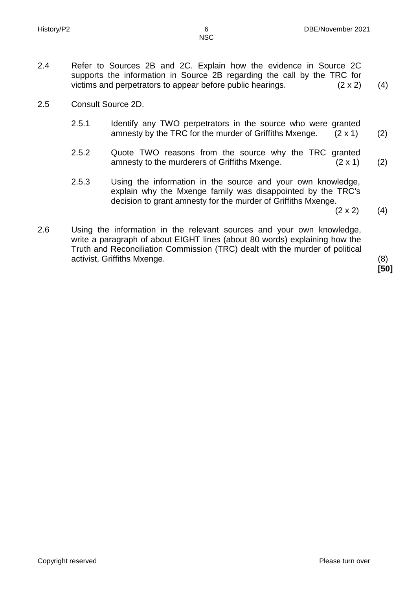NSC

- 2.4 Refer to Sources 2B and 2C. Explain how the evidence in Source 2C supports the information in Source 2B regarding the call by the TRC for victims and perpetrators to appear before public hearings.  $(2 \times 2)$  (4)
- 2.5 Consult Source 2D.
	- 2.5.1 Identify any TWO perpetrators in the source who were granted amnesty by the TRC for the murder of Griffiths Mxenge.  $(2 \times 1)$ (2)
	- 2.5.2 Quote TWO reasons from the source why the TRC granted amnesty to the murderers of Griffiths Mxenge. (2 x 1) (2)
	- 2.5.3 Using the information in the source and your own knowledge, explain why the Mxenge family was disappointed by the TRC's decision to grant amnesty for the murder of Griffiths Mxenge.

 $(2 \times 2)$ (4)

2.6 Using the information in the relevant sources and your own knowledge, write a paragraph of about EIGHT lines (about 80 words) explaining how the Truth and Reconciliation Commission (TRC) dealt with the murder of political activist, Griffiths Mxenge. (8)

**[50]**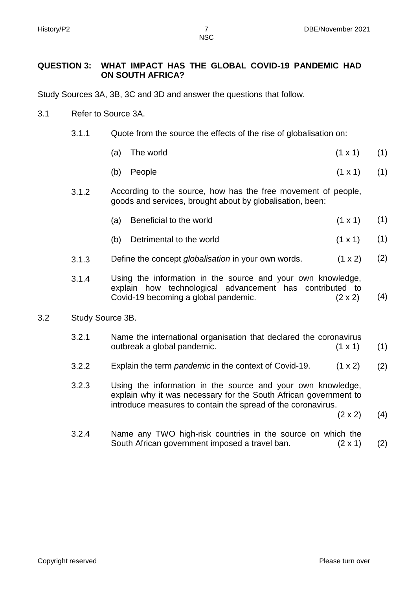NSC

# **QUESTION 3: WHAT IMPACT HAS THE GLOBAL COVID-19 PANDEMIC HAD ON SOUTH AFRICA?**

Study Sources 3A, 3B, 3C and 3D and answer the questions that follow.

- 3.1 Refer to Source 3A.
	- 3.1.1 Quote from the source the effects of the rise of globalisation on:
		- (a) The world  $(1 \times 1)$ (1)
		- (b) People  $(1 \times 1)$ (1)
	- 3.1.2 According to the source, how has the free movement of people, goods and services, brought about by globalisation, been:
		- (a) Beneficial to the world  $(1 \times 1)$ (1)
		- (b) Detrimental to the world  $(1 \times 1)$ (1)
	- 3.1.3 Define the concept *globalisation* in your own words. (1 x 2) (2)
	- 3.1.4 Using the information in the source and your own knowledge, explain how technological advancement has contributed to Covid-19 becoming a global pandemic. (2 x 2) (4)

#### 3.2 Study Source 3B.

- 3.2.1 Name the international organisation that declared the coronavirus outbreak a global pandemic. (1 x 1) (1)
- 3.2.2 Explain the term *pandemic* in the context of Covid-19. (1 x 2) (2)
- 3.2.3 Using the information in the source and your own knowledge, explain why it was necessary for the South African government to introduce measures to contain the spread of the coronavirus.  $(2 \times 2)$

(4)

3.2.4 Name any TWO high-risk countries in the source on which the South African government imposed a travel ban. (2 x 1) (2)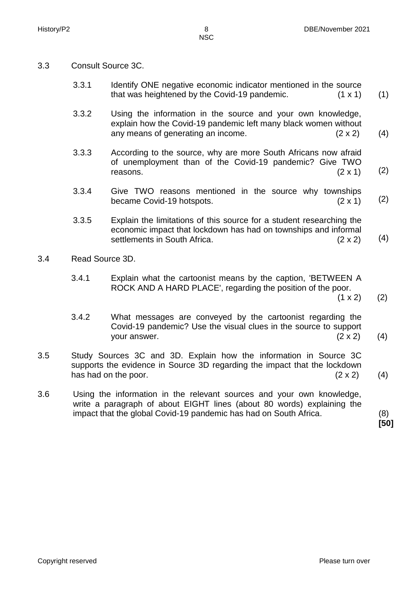- 
- 3.3 Consult Source 3C.
	- 3.3.1 Identify ONE negative economic indicator mentioned in the source that was heightened by the Covid-19 pandemic.  $(1 \times 1)$ (1)
	- 3.3.2 Using the information in the source and your own knowledge, explain how the Covid-19 pandemic left many black women without any means of generating an income. (2 x 2) (4)
	- 3.3.3 According to the source, why are more South Africans now afraid of unemployment than of the Covid-19 pandemic? Give TWO reasons.  $(2 \times 1)$ (2)
	- 3.3.4 Give TWO reasons mentioned in the source why townships became Covid-19 hotspots. (2 x 1) (2)
	- 3.3.5 Explain the limitations of this source for a student researching the economic impact that lockdown has had on townships and informal settlements in South Africa. (2 x 2) (4)
- 3.4 Read Source 3D.
	- 3.4.1 Explain what the cartoonist means by the caption, 'BETWEEN A ROCK AND A HARD PLACE', regarding the position of the poor.
		- $(1 \times 2)$ (2)
	- 3.4.2 What messages are conveyed by the cartoonist regarding the Covid-19 pandemic? Use the visual clues in the source to support your answer. (2 x 2) (4)
- 3.5 Study Sources 3C and 3D. Explain how the information in Source 3C supports the evidence in Source 3D regarding the impact that the lockdown has had on the poor.  $(2 \times 2)$  (4)
- 3.6 Using the information in the relevant sources and your own knowledge, write a paragraph of about EIGHT lines (about 80 words) explaining the impact that the global Covid-19 pandemic has had on South Africa. (8)

**[50]**